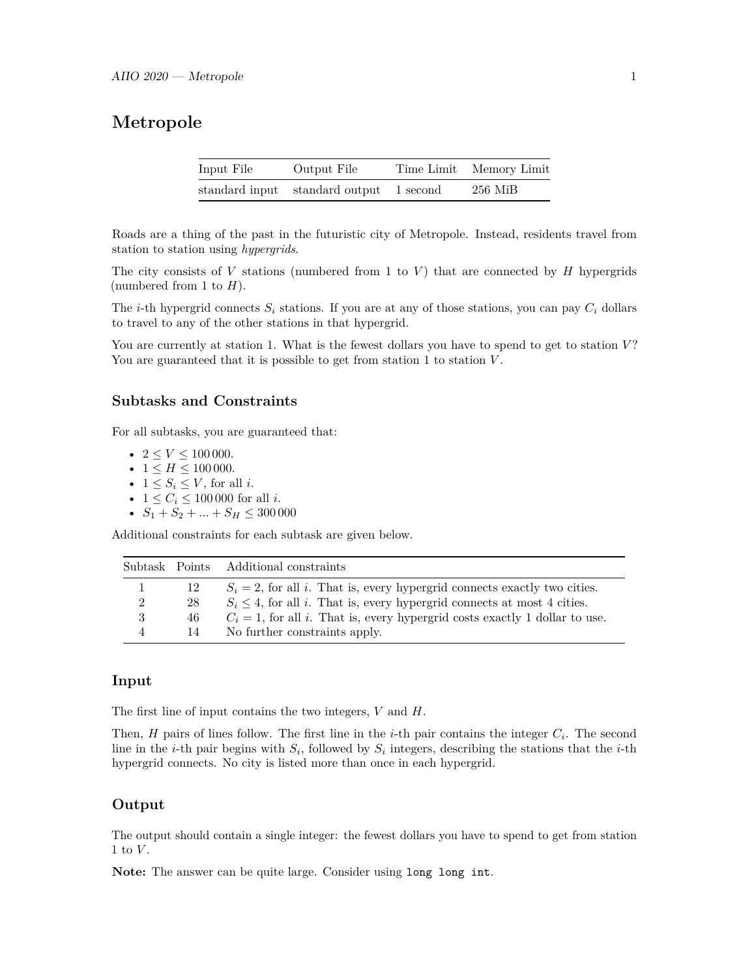## **Metropole**

| Input File | Output File                             | Time Limit Memory Limit |
|------------|-----------------------------------------|-------------------------|
|            | standard input standard output 1 second | $256$ MiB               |

Roads are a thing of the past in the futuristic city of Metropole. Instead, residents travel from station to station using *hypergrids*.

The city consists of *V* stations (numbered from 1 to *V* ) that are connected by *H* hypergrids (numbered from 1 to  $H$ ).

The *i*-th hypergrid connects  $S_i$  stations. If you are at any of those stations, you can pay  $C_i$  dollars to travel to any of the other stations in that hypergrid.

You are currently at station 1. What is the fewest dollars you have to spend to get to station V? You are guaranteed that it is possible to get from station 1 to station  $V$ .

### **Subtasks and Constraints**

For all subtasks, you are guaranteed that:

- $2 \le V \le 100000$ .
- $1 \leq H \leq 100000$ .
- $1 \leq S_i \leq V$ , for all *i*.
- $1 \le C_i \le 100\,000$  for all *i*.
- $S_1 + S_2 + \ldots + S_H \leq 300000$

Additional constraints for each subtask are given below.

|                |     | Subtask Points Additional constraints                                                 |
|----------------|-----|---------------------------------------------------------------------------------------|
| 1              | -12 | $S_i = 2$ , for all i. That is, every hypergrid connects exactly two cities.          |
| $\overline{2}$ | 28  | $S_i \leq 4$ , for all <i>i</i> . That is, every hypergrid connects at most 4 cities. |
| 3              | 46  | $C_i = 1$ , for all i. That is, every hypergrid costs exactly 1 dollar to use.        |
| 4              | 14  | No further constraints apply.                                                         |

#### **Input**

The first line of input contains the two integers, *V* and *H*.

Then, *H* pairs of lines follow. The first line in the *i*-th pair contains the integer *C<sup>i</sup>* . The second line in the *i*-th pair begins with  $S_i$ , followed by  $S_i$  integers, describing the stations that the *i*-th hypergrid connects. No city is listed more than once in each hypergrid.

#### **Output**

The output should contain a single integer: the fewest dollars you have to spend to get from station 1 to *V* .

**Note:** The answer can be quite large. Consider using long long int.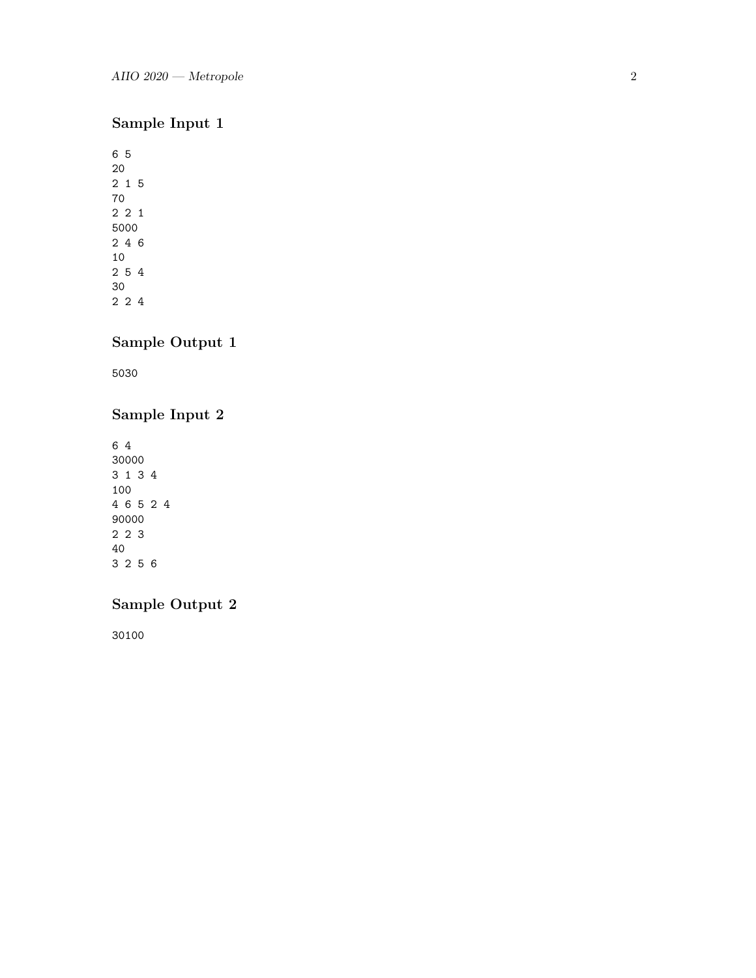# **Sample Input 1**

# **Sample Output 1**

5030

## **Sample Input 2**

## **Sample Output 2**

30100